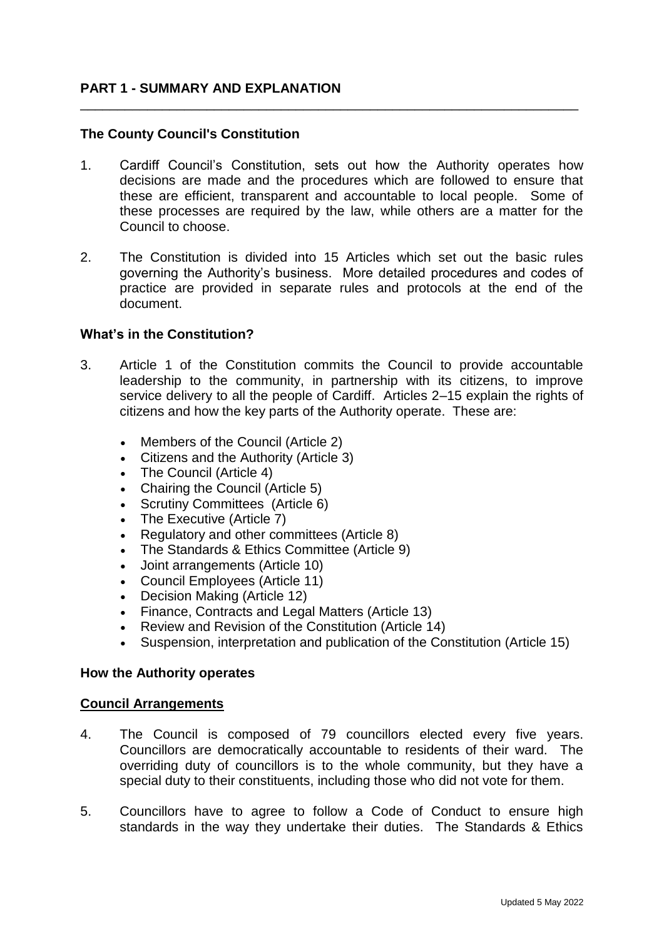## **PART 1 - SUMMARY AND EXPLANATION**

## **The County Council's Constitution**

1. Cardiff Council's Constitution, sets out how the Authority operates how decisions are made and the procedures which are followed to ensure that these are efficient, transparent and accountable to local people. Some of these processes are required by the law, while others are a matter for the Council to choose.

\_\_\_\_\_\_\_\_\_\_\_\_\_\_\_\_\_\_\_\_\_\_\_\_\_\_\_\_\_\_\_\_\_\_\_\_\_\_\_\_\_\_\_\_\_\_\_\_\_\_\_\_\_\_\_\_\_\_\_\_\_\_\_\_\_\_\_

2. The Constitution is divided into 15 Articles which set out the basic rules governing the Authority's business. More detailed procedures and codes of practice are provided in separate rules and protocols at the end of the document.

### **What's in the Constitution?**

- 3. Article 1 of the Constitution commits the Council to provide accountable leadership to the community, in partnership with its citizens, to improve service delivery to all the people of Cardiff. Articles 2–15 explain the rights of citizens and how the key parts of the Authority operate. These are:
	- Members of the Council (Article 2)
	- Citizens and the Authority (Article 3)
	- The Council (Article 4)
	- Chairing the Council (Article 5)
	- Scrutiny Committees (Article 6)
	- The Executive (Article 7)
	- Regulatory and other committees (Article 8)
	- The Standards & Ethics Committee (Article 9)
	- Joint arrangements (Article 10)
	- Council Employees (Article 11)
	- Decision Making (Article 12)
	- Finance, Contracts and Legal Matters (Article 13)
	- Review and Revision of the Constitution (Article 14)
	- Suspension, interpretation and publication of the Constitution (Article 15)

#### **How the Authority operates**

#### **Council Arrangements**

- 4. The Council is composed of 79 councillors elected every five years. Councillors are democratically accountable to residents of their ward. The overriding duty of councillors is to the whole community, but they have a special duty to their constituents, including those who did not vote for them.
- 5. Councillors have to agree to follow a Code of Conduct to ensure high standards in the way they undertake their duties. The Standards & Ethics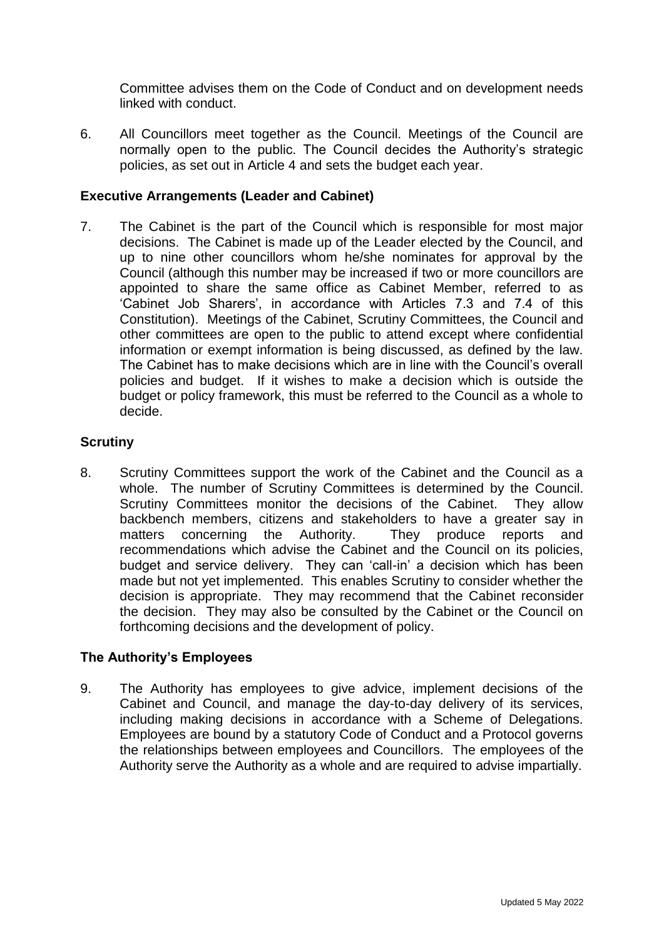Committee advises them on the Code of Conduct and on development needs linked with conduct.

6. All Councillors meet together as the Council. Meetings of the Council are normally open to the public. The Council decides the Authority's strategic policies, as set out in Article 4 and sets the budget each year.

## **Executive Arrangements (Leader and Cabinet)**

7. The Cabinet is the part of the Council which is responsible for most major decisions. The Cabinet is made up of the Leader elected by the Council, and up to nine other councillors whom he/she nominates for approval by the Council (although this number may be increased if two or more councillors are appointed to share the same office as Cabinet Member, referred to as 'Cabinet Job Sharers', in accordance with Articles 7.3 and 7.4 of this Constitution). Meetings of the Cabinet, Scrutiny Committees, the Council and other committees are open to the public to attend except where confidential information or exempt information is being discussed, as defined by the law. The Cabinet has to make decisions which are in line with the Council's overall policies and budget. If it wishes to make a decision which is outside the budget or policy framework, this must be referred to the Council as a whole to decide.

## **Scrutiny**

8. Scrutiny Committees support the work of the Cabinet and the Council as a whole. The number of Scrutiny Committees is determined by the Council. Scrutiny Committees monitor the decisions of the Cabinet. They allow backbench members, citizens and stakeholders to have a greater say in matters concerning the Authority. They produce reports and recommendations which advise the Cabinet and the Council on its policies, budget and service delivery. They can 'call-in' a decision which has been made but not yet implemented. This enables Scrutiny to consider whether the decision is appropriate. They may recommend that the Cabinet reconsider the decision. They may also be consulted by the Cabinet or the Council on forthcoming decisions and the development of policy.

# **The Authority's Employees**

9. The Authority has employees to give advice, implement decisions of the Cabinet and Council, and manage the day-to-day delivery of its services, including making decisions in accordance with a Scheme of Delegations. Employees are bound by a statutory Code of Conduct and a Protocol governs the relationships between employees and Councillors. The employees of the Authority serve the Authority as a whole and are required to advise impartially.